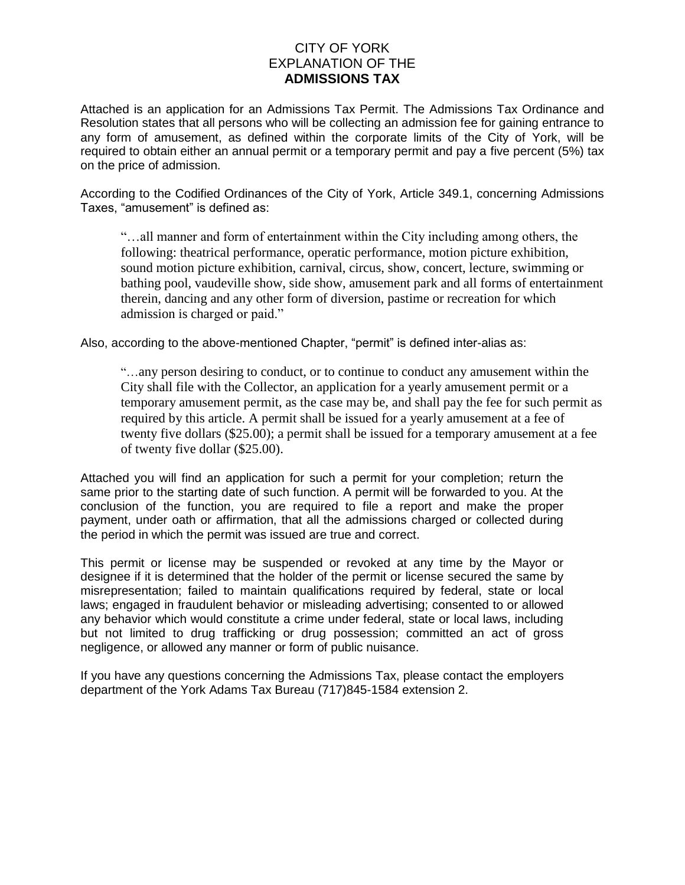# CITY OF YORK EXPLANATION OF THE **ADMISSIONS TAX**

Attached is an application for an Admissions Tax Permit. The Admissions Tax Ordinance and Resolution states that all persons who will be collecting an admission fee for gaining entrance to any form of amusement, as defined within the corporate limits of the City of York, will be required to obtain either an annual permit or a temporary permit and pay a five percent (5%) tax on the price of admission.

According to the Codified Ordinances of the City of York, Article 349.1, concerning Admissions Taxes, "amusement" is defined as:

"…all manner and form of entertainment within the City including among others, the following: theatrical performance, operatic performance, motion picture exhibition, sound motion picture exhibition, carnival, circus, show, concert, lecture, swimming or bathing pool, vaudeville show, side show, amusement park and all forms of entertainment therein, dancing and any other form of diversion, pastime or recreation for which admission is charged or paid."

Also, according to the above-mentioned Chapter, "permit" is defined inter-alias as:

"…any person desiring to conduct, or to continue to conduct any amusement within the City shall file with the Collector, an application for a yearly amusement permit or a temporary amusement permit, as the case may be, and shall pay the fee for such permit as required by this article. A permit shall be issued for a yearly amusement at a fee of twenty five dollars (\$25.00); a permit shall be issued for a temporary amusement at a fee of twenty five dollar (\$25.00).

Attached you will find an application for such a permit for your completion; return the same prior to the starting date of such function. A permit will be forwarded to you. At the conclusion of the function, you are required to file a report and make the proper payment, under oath or affirmation, that all the admissions charged or collected during the period in which the permit was issued are true and correct.

This permit or license may be suspended or revoked at any time by the Mayor or designee if it is determined that the holder of the permit or license secured the same by misrepresentation; failed to maintain qualifications required by federal, state or local laws; engaged in fraudulent behavior or misleading advertising; consented to or allowed any behavior which would constitute a crime under federal, state or local laws, including but not limited to drug trafficking or drug possession; committed an act of gross negligence, or allowed any manner or form of public nuisance.

If you have any questions concerning the Admissions Tax, please contact the employers department of the York Adams Tax Bureau (717)845-1584 extension 2.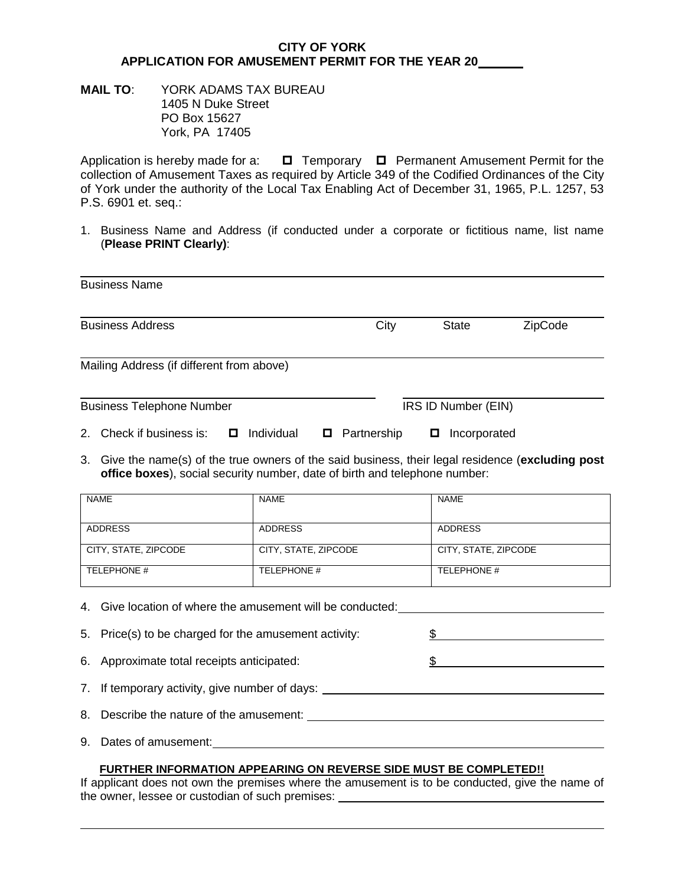## **CITY OF YORK APPLICATION FOR AMUSEMENT PERMIT FOR THE YEAR 20**

### **MAIL TO**: YORK ADAMS TAX BUREAU 1405 N Duke Street PO Box 15627 York, PA 17405

Application is hereby made for a:  $\Box$  Temporary  $\Box$  Permanent Amusement Permit for the collection of Amusement Taxes as required by Article 349 of the Codified Ordinances of the City of York under the authority of the Local Tax Enabling Act of December 31, 1965, P.L. 1257, 53 P.S. 6901 et. seq.:

1. Business Name and Address (if conducted under a corporate or fictitious name, list name (**Please PRINT Clearly)**:

| <b>Business Name</b>                                  |                     |              |         |
|-------------------------------------------------------|---------------------|--------------|---------|
| <b>Business Address</b>                               | City                | <b>State</b> | ZipCode |
| Mailing Address (if different from above)             |                     |              |         |
| <b>Business Telephone Number</b>                      | IRS ID Number (EIN) |              |         |
| Check if business is:<br>Individual<br>2 <sup>1</sup> | Partnership<br>О    | Incorporated |         |

3. Give the name(s) of the true owners of the said business, their legal residence (**excluding post office boxes**), social security number, date of birth and telephone number:

| <b>NAME</b>          | <b>NAME</b>          | <b>NAME</b>          |
|----------------------|----------------------|----------------------|
|                      |                      |                      |
| ADDRESS              | ADDRESS              | ADDRESS              |
| CITY, STATE, ZIPCODE | CITY, STATE, ZIPCODE | CITY, STATE, ZIPCODE |
|                      |                      |                      |
| TELEPHONE #          | TELEPHONE #          | TELEPHONE #          |
|                      |                      |                      |

4. Give location of where the amusement will be conducted: 5. Price(s) to be charged for the amusement activity: \$ 6. Approximate total receipts anticipated: \$

- 7. If temporary activity, give number of days:
- 8. Describe the nature of the amusement:
- 9. Dates of amusement:

#### **FURTHER INFORMATION APPEARING ON REVERSE SIDE MUST BE COMPLETED!!**

If applicant does not own the premises where the amusement is to be conducted, give the name of the owner, lessee or custodian of such premises: